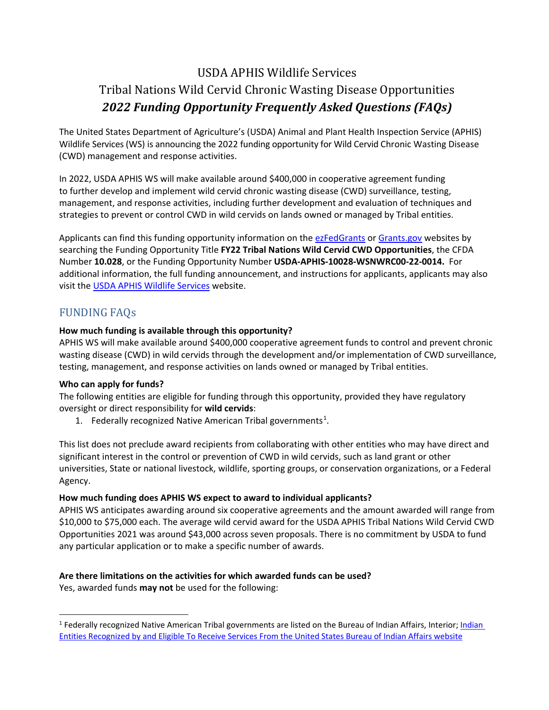# USDA APHIS Wildlife Services Tribal Nations Wild Cervid Chronic Wasting Disease Opportunities *2022 Funding Opportunity Frequently Asked Questions (FAQs)*

The United States Department of Agriculture's (USDA) Animal and Plant Health Inspection Service (APHIS) Wildlife Services (WS) is announcing the 2022 funding opportunity for Wild Cervid Chronic Wasting Disease (CWD) management and response activities.

In 2022, USDA APHIS WS will make available around \$400,000 in cooperative agreement funding to further develop and implement wild cervid chronic wasting disease (CWD) surveillance, testing, management, and response activities, including further development and evaluation of techniques and strategies to prevent or control CWD in wild cervids on lands owned or managed by Tribal entities.

Applicants can find this funding opportunity information on th[e ezFedGrants](https://www.ocfo.usda.gov/ezFedGrants) or [Grants.gov](https://www.grants.gov/web/grants/search-grants.html) websites by searching the Funding Opportunity Title **FY22 Tribal Nations Wild Cervid CWD Opportunities**, the CFDA Number **10.028**, or the Funding Opportunity Number **USDA-APHIS-10028-WSNWRC00-22-0014.** For additional information, the full funding announcement, and instructions for applicants, applicants may also visit the [USDA APHIS Wildlife Services](https://www.aphis.usda.gov/aphis/ourfocus/wildlifedamage/SA_Program_Overview) website.

# FUNDING FAQs

### **How much funding is available through this opportunity?**

APHIS WS will make available around \$400,000 cooperative agreement funds to control and prevent chronic wasting disease (CWD) in wild cervids through the development and/or implementation of CWD surveillance, testing, management, and response activities on lands owned or managed by Tribal entities.

### **Who can apply for funds?**

The following entities are eligible for funding through this opportunity, provided they have regulatory oversight or direct responsibility for **wild cervids**:

[1](#page-0-0). Federally recognized Native American Tribal governments<sup>1</sup>.

This list does not preclude award recipients from collaborating with other entities who may have direct and significant interest in the control or prevention of CWD in wild cervids, such as land grant or other universities, State or national livestock, wildlife, sporting groups, or conservation organizations, or a Federal Agency.

### **How much funding does APHIS WS expect to award to individual applicants?**

APHIS WS anticipates awarding around six cooperative agreements and the amount awarded will range from \$10,000 to \$75,000 each. The average wild cervid award for the USDA APHIS Tribal Nations Wild Cervid CWD Opportunities 2021 was around \$43,000 across seven proposals. There is no commitment by USDA to fund any particular application or to make a specific number of awards.

### **Are there limitations on the activities for which awarded funds can be used?**

Yes, awarded funds **may not** be used for the following:

<span id="page-0-0"></span><sup>&</sup>lt;sup>1</sup> Federally recognized Native American Tribal governments are listed on the Bureau of Indian Affairs, Interior; Indian [Entities Recognized by and Eligible To Receive Services From the United States Bureau of Indian Affairs website](https://www.federalregister.gov/documents/2021/01/29/2021-01606/indian-entities-recognized-by-and-eligible-to-receive-services-from-the-united-states-bureau-of)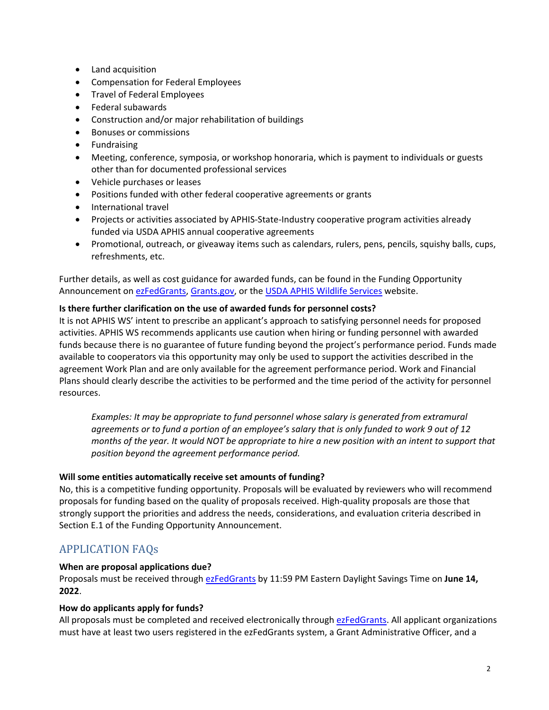- Land acquisition
- Compensation for Federal Employees
- Travel of Federal Employees
- Federal subawards
- Construction and/or major rehabilitation of buildings
- Bonuses or commissions
- Fundraising
- Meeting, conference, symposia, or workshop honoraria, which is payment to individuals or guests other than for documented professional services
- Vehicle purchases or leases
- Positions funded with other federal cooperative agreements or grants
- International travel
- Projects or activities associated by APHIS-State-Industry cooperative program activities already funded via USDA APHIS annual cooperative agreements
- Promotional, outreach, or giveaway items such as calendars, rulers, pens, pencils, squishy balls, cups, refreshments, etc.

Further details, as well as cost guidance for awarded funds, can be found in the Funding Opportunity Announcement o[n ezFedGrants,](https://www.ocfo.usda.gov/ezFedGrants) [Grants.gov,](https://www.grants.gov/web/grants/search-grants.html) or the [USDA APHIS Wildlife Services](https://www.aphis.usda.gov/aphis/ourfocus/wildlifedamage/SA_Program_Overview) website.

### **Is there further clarification on the use of awarded funds for personnel costs?**

It is not APHIS WS' intent to prescribe an applicant's approach to satisfying personnel needs for proposed activities. APHIS WS recommends applicants use caution when hiring or funding personnel with awarded funds because there is no guarantee of future funding beyond the project's performance period. Funds made available to cooperators via this opportunity may only be used to support the activities described in the agreement Work Plan and are only available for the agreement performance period. Work and Financial Plans should clearly describe the activities to be performed and the time period of the activity for personnel resources.

*Examples: It may be appropriate to fund personnel whose salary is generated from extramural agreements or to fund a portion of an employee's salary that is only funded to work 9 out of 12 months of the year. It would NOT be appropriate to hire a new position with an intent to support that position beyond the agreement performance period.*

### **Will some entities automatically receive set amounts of funding?**

No, this is a competitive funding opportunity. Proposals will be evaluated by reviewers who will recommend proposals for funding based on the quality of proposals received. High-quality proposals are those that strongly support the priorities and address the needs, considerations, and evaluation criteria described in Section E.1 of the Funding Opportunity Announcement.

# APPLICATION FAQs

### **When are proposal applications due?**

Proposals must be received through [ezFedGrants](https://www.ocfo.usda.gov/ezFedGrants) by 11:59 PM Eastern Daylight Savings Time on **June 14, 2022**.

### **How do applicants apply for funds?**

All proposals must be completed and received electronically through [ezFedGrants.](https://www.ocfo.usda.gov/ezFedGrants) All applicant organizations must have at least two users registered in the ezFedGrants system, a Grant Administrative Officer, and a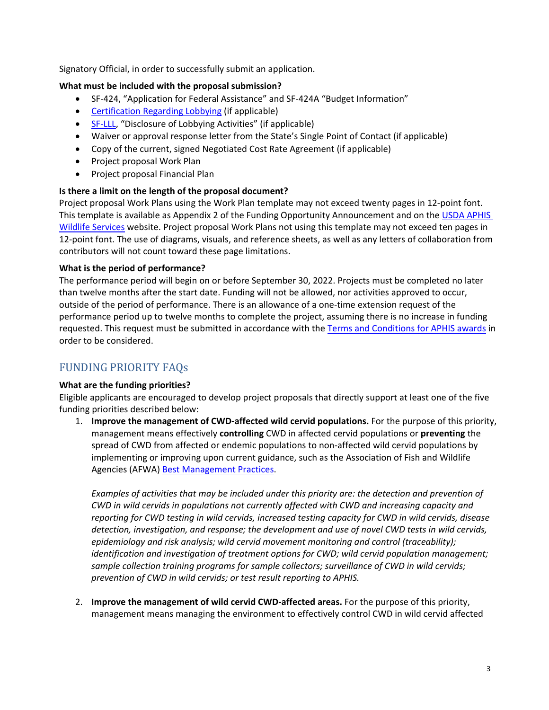Signatory Official, in order to successfully submit an application.

### **What must be included with the proposal submission?**

- SF-424, "Application for Federal Assistance" and SF-424A "Budget Information"
- [Certification Regarding Lobbying](https://www.aphis.usda.gov/library/forms/pdf/certification_regarding_lobbying.pdf) (if applicable)
- [SF-LLL,](https://www.grants.gov/web/grants/forms/post-award-reporting-forms.html#sortby=1) "Disclosure of Lobbying Activities" (if applicable)
- Waiver or approval response letter from the State's Single Point of Contact (if applicable)
- Copy of the current, signed Negotiated Cost Rate Agreement (if applicable)
- Project proposal Work Plan
- Project proposal Financial Plan

### **Is there a limit on the length of the proposal document?**

Project proposal Work Plans using the Work Plan template may not exceed twenty pages in 12-point font. This template is available as Appendix 2 of the Funding Opportunity Announcement and on the USDA APHIS [Wildlife Services](https://www.aphis.usda.gov/aphis/ourfocus/wildlifedamage/SA_Program_Overview) website. Project proposal Work Plans not using this template may not exceed ten pages in 12-point font. The use of diagrams, visuals, and reference sheets, as well as any letters of collaboration from contributors will not count toward these page limitations.

### **What is the period of performance?**

The performance period will begin on or before September 30, 2022. Projects must be completed no later than twelve months after the start date. Funding will not be allowed, nor activities approved to occur, outside of the period of performance. There is an allowance of a one-time extension request of the performance period up to twelve months to complete the project, assuming there is no increase in funding requested. This request must be submitted in accordance with the [Terms and Conditions for APHIS awards](https://www.aphis.usda.gov/aphis/ourfocus/business-services/financial-management-division/Financial_Services_Branch/Agreements_Service_Center/terms-conditions-for-aphis-awards) in order to be considered.

# FUNDING PRIORITY FAQs

### **What are the funding priorities?**

Eligible applicants are encouraged to develop project proposals that directly support at least one of the five funding priorities described below:

1. **Improve the management of CWD-affected wild cervid populations.** For the purpose of this priority, management means effectively **controlling** CWD in affected cervid populations or **preventing** the spread of CWD from affected or endemic populations to non-affected wild cervid populations by implementing or improving upon current guidance, such as the Association of Fish and Wildlife Agencies (AFWA) [Best Management Practices.](https://www.fishwildlife.org/application/files/5215/3729/1805/AFWA_CWD_BMPS_12_September_2018_FINAL.pdf)

Examples of activities that may be included under this priority are: the detection and prevention of *CWD in wild cervids in populations not currently affected with CWD and increasing capacity and reporting for CWD testing in wild cervids, increased testing capacity for CWD in wild cervids, disease detection, investigation, and response; the development and use of novel CWD tests in wild cervids, epidemiology and risk analysis; wild cervid movement monitoring and control (traceability); identification and investigation of treatment options for CWD; wild cervid population management; sample collection training programs for sample collectors; surveillance of CWD in wild cervids; prevention of CWD in wild cervids; or test result reporting to APHIS.*

2. **Improve the management of wild cervid CWD-affected areas.** For the purpose of this priority, management means managing the environment to effectively control CWD in wild cervid affected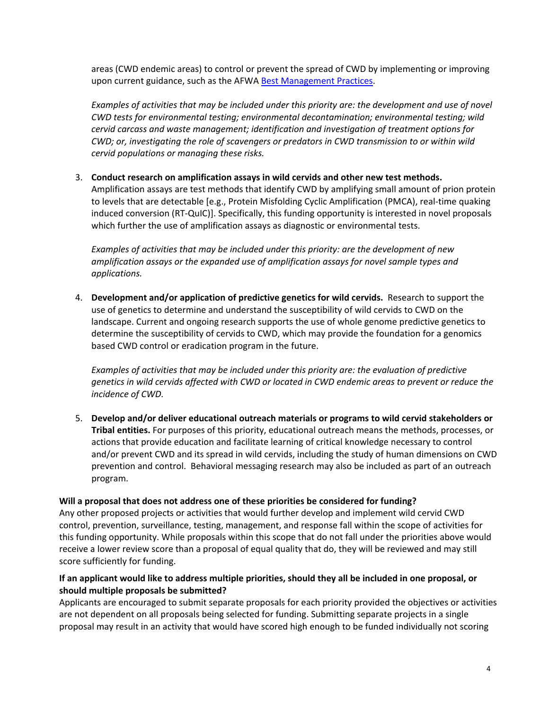areas (CWD endemic areas) to control or prevent the spread of CWD by implementing or improving upon current guidance, such as the AFWA [Best Management Practices.](https://www.fishwildlife.org/application/files/5215/3729/1805/AFWA_CWD_BMPS_12_September_2018_FINAL.pdf)

*Examples of activities that may be included under this priority are: the development and use of novel CWD tests for environmental testing; environmental decontamination; environmental testing; wild cervid carcass and waste management; identification and investigation of treatment options for CWD; or, investigating the role of scavengers or predators in CWD transmission to or within wild cervid populations or managing these risks.*

# 3. **Conduct research on amplification assays in wild cervids and other new test methods.**

Amplification assays are test methods that identify CWD by amplifying small amount of prion protein to levels that are detectable [e.g., Protein Misfolding Cyclic Amplification (PMCA), real-time quaking induced conversion (RT-QuIC)]. Specifically, this funding opportunity is interested in novel proposals which further the use of amplification assays as diagnostic or environmental tests.

*Examples of activities that may be included under this priority: are the development of new amplification assays or the expanded use of amplification assays for novel sample types and applications.*

4. **Development and/or application of predictive genetics for wild cervids.** Research to support the use of genetics to determine and understand the susceptibility of wild cervids to CWD on the landscape. Current and ongoing research supports the use of whole genome predictive genetics to determine the susceptibility of cervids to CWD, which may provide the foundation for a genomics based CWD control or eradication program in the future.

*Examples of activities that may be included under this priority are: the evaluation of predictive genetics in wild cervids affected with CWD or located in CWD endemic areas to prevent or reduce the incidence of CWD.*

5. **Develop and/or deliver educational outreach materials or programs to wild cervid stakeholders or Tribal entities.** For purposes of this priority, educational outreach means the methods, processes, or actions that provide education and facilitate learning of critical knowledge necessary to control and/or prevent CWD and its spread in wild cervids, including the study of human dimensions on CWD prevention and control. Behavioral messaging research may also be included as part of an outreach program.

### **Will a proposal that does not address one of these priorities be considered for funding?**

Any other proposed projects or activities that would further develop and implement wild cervid CWD control, prevention, surveillance, testing, management, and response fall within the scope of activities for this funding opportunity. While proposals within this scope that do not fall under the priorities above would receive a lower review score than a proposal of equal quality that do, they will be reviewed and may still score sufficiently for funding.

### **If an applicant would like to address multiple priorities, should they all be included in one proposal, or should multiple proposals be submitted?**

Applicants are encouraged to submit separate proposals for each priority provided the objectives or activities are not dependent on all proposals being selected for funding. Submitting separate projects in a single proposal may result in an activity that would have scored high enough to be funded individually not scoring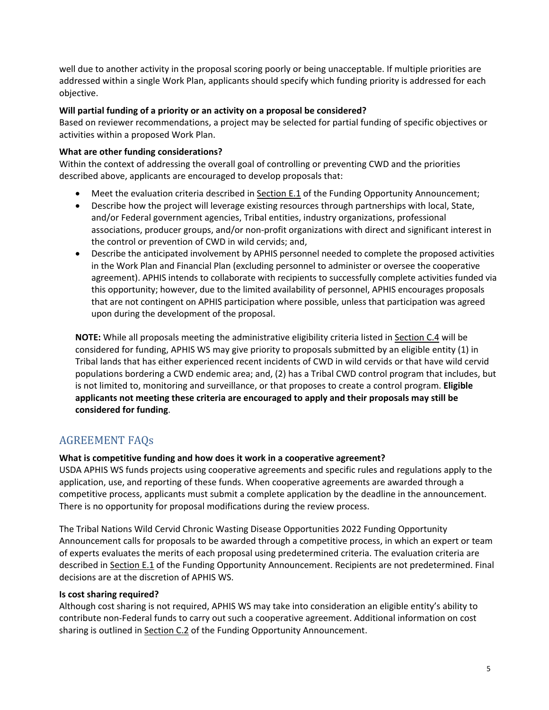well due to another activity in the proposal scoring poorly or being unacceptable. If multiple priorities are addressed within a single Work Plan, applicants should specify which funding priority is addressed for each objective.

### **Will partial funding of a priority or an activity on a proposal be considered?**

Based on reviewer recommendations, a project may be selected for partial funding of specific objectives or activities within a proposed Work Plan.

### **What are other funding considerations?**

Within the context of addressing the overall goal of controlling or preventing CWD and the priorities described above, applicants are encouraged to develop proposals that:

- Meet the evaluation criteria described in Section E.1 of the Funding Opportunity Announcement;
- Describe how the project will leverage existing resources through partnerships with local, State, and/or Federal government agencies, Tribal entities, industry organizations, professional associations, producer groups, and/or non-profit organizations with direct and significant interest in the control or prevention of CWD in wild cervids; and,
- Describe the anticipated involvement by APHIS personnel needed to complete the proposed activities in the Work Plan and Financial Plan (excluding personnel to administer or oversee the cooperative agreement). APHIS intends to collaborate with recipients to successfully complete activities funded via this opportunity; however, due to the limited availability of personnel, APHIS encourages proposals that are not contingent on APHIS participation where possible, unless that participation was agreed upon during the development of the proposal.

**NOTE:** While all proposals meeting the administrative eligibility criteria listed in Section C.4 will be considered for funding, APHIS WS may give priority to proposals submitted by an eligible entity (1) in Tribal lands that has either experienced recent incidents of CWD in wild cervids or that have wild cervid populations bordering a CWD endemic area; and, (2) has a Tribal CWD control program that includes, but is not limited to, monitoring and surveillance, or that proposes to create a control program. **Eligible applicants not meeting these criteria are encouraged to apply and their proposals may still be considered for funding**.

# AGREEMENT FAQs

### **What is competitive funding and how does it work in a cooperative agreement?**

USDA APHIS WS funds projects using cooperative agreements and specific rules and regulations apply to the application, use, and reporting of these funds. When cooperative agreements are awarded through a competitive process, applicants must submit a complete application by the deadline in the announcement. There is no opportunity for proposal modifications during the review process.

The Tribal Nations Wild Cervid Chronic Wasting Disease Opportunities 2022 Funding Opportunity Announcement calls for proposals to be awarded through a competitive process, in which an expert or team of experts evaluates the merits of each proposal using predetermined criteria. The evaluation criteria are described in Section E.1 of the Funding Opportunity Announcement. Recipients are not predetermined. Final decisions are at the discretion of APHIS WS.

### **Is cost sharing required?**

Although cost sharing is not required, APHIS WS may take into consideration an eligible entity's ability to contribute non-Federal funds to carry out such a cooperative agreement. Additional information on cost sharing is outlined in Section C.2 of the Funding Opportunity Announcement.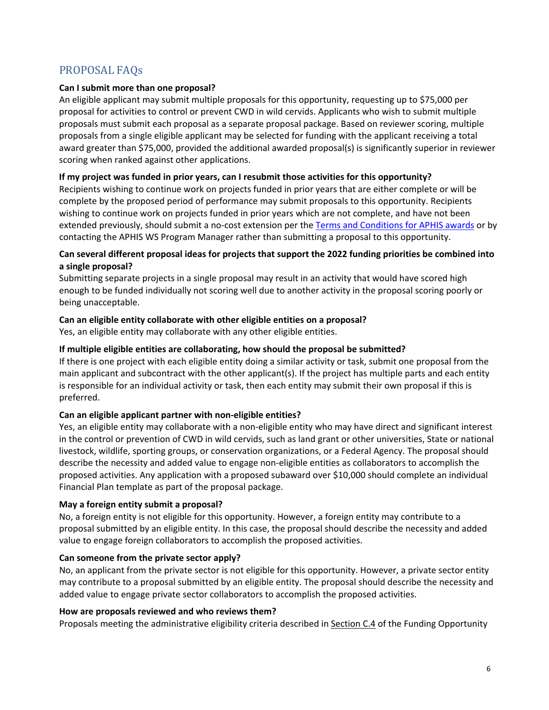# PROPOSAL FAQs

### **Can I submit more than one proposal?**

An eligible applicant may submit multiple proposals for this opportunity, requesting up to \$75,000 per proposal for activities to control or prevent CWD in wild cervids. Applicants who wish to submit multiple proposals must submit each proposal as a separate proposal package. Based on reviewer scoring, multiple proposals from a single eligible applicant may be selected for funding with the applicant receiving a total award greater than \$75,000, provided the additional awarded proposal(s) is significantly superior in reviewer scoring when ranked against other applications.

### **If my project was funded in prior years, can I resubmit those activities for this opportunity?**

Recipients wishing to continue work on projects funded in prior years that are either complete or will be complete by the proposed period of performance may submit proposals to this opportunity. Recipients wishing to continue work on projects funded in prior years which are not complete, and have not been extended previously, should submit a no-cost extension per the [Terms and Conditions for APHIS awards](https://www.aphis.usda.gov/aphis/ourfocus/business-services/financial-management-division/Financial_Services_Branch/Agreements_Service_Center/terms-conditions-for-aphis-awards) or by contacting the APHIS WS Program Manager rather than submitting a proposal to this opportunity.

### **Can several different proposal ideas for projects that support the 2022 funding priorities be combined into a single proposal?**

Submitting separate projects in a single proposal may result in an activity that would have scored high enough to be funded individually not scoring well due to another activity in the proposal scoring poorly or being unacceptable.

### **Can an eligible entity collaborate with other eligible entities on a proposal?**

Yes, an eligible entity may collaborate with any other eligible entities.

### **If multiple eligible entities are collaborating, how should the proposal be submitted?**

If there is one project with each eligible entity doing a similar activity or task, submit one proposal from the main applicant and subcontract with the other applicant(s). If the project has multiple parts and each entity is responsible for an individual activity or task, then each entity may submit their own proposal if this is preferred.

### **Can an eligible applicant partner with non-eligible entities?**

Yes, an eligible entity may collaborate with a non-eligible entity who may have direct and significant interest in the control or prevention of CWD in wild cervids, such as land grant or other universities, State or national livestock, wildlife, sporting groups, or conservation organizations, or a Federal Agency. The proposal should describe the necessity and added value to engage non-eligible entities as collaborators to accomplish the proposed activities. Any application with a proposed subaward over \$10,000 should complete an individual Financial Plan template as part of the proposal package.

### **May a foreign entity submit a proposal?**

No, a foreign entity is not eligible for this opportunity. However, a foreign entity may contribute to a proposal submitted by an eligible entity. In this case, the proposal should describe the necessity and added value to engage foreign collaborators to accomplish the proposed activities.

### **Can someone from the private sector apply?**

No, an applicant from the private sector is not eligible for this opportunity. However, a private sector entity may contribute to a proposal submitted by an eligible entity. The proposal should describe the necessity and added value to engage private sector collaborators to accomplish the proposed activities.

### **How are proposals reviewed and who reviews them?**

Proposals meeting the administrative eligibility criteria described in Section C.4 of the Funding Opportunity